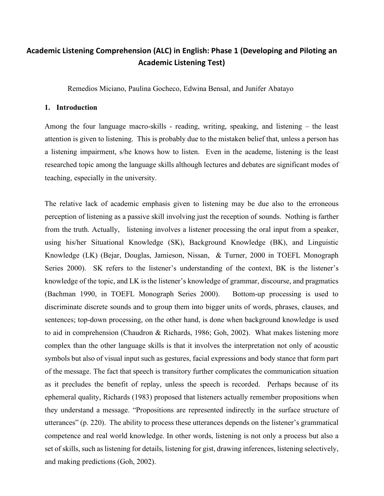# **Academic Listening Comprehension (ALC) in English: Phase 1 (Developing and Piloting an Academic Listening Test)**

Remedios Miciano, Paulina Gocheco, Edwina Bensal, and Junifer Abatayo

## **1. Introduction**

Among the four language macro-skills - reading, writing, speaking, and listening – the least attention is given to listening. This is probably due to the mistaken belief that, unless a person has a listening impairment, s/he knows how to listen. Even in the academe, listening is the least researched topic among the language skills although lectures and debates are significant modes of teaching, especially in the university.

The relative lack of academic emphasis given to listening may be due also to the erroneous perception of listening as a passive skill involving just the reception of sounds. Nothing is farther from the truth. Actually, listening involves a listener processing the oral input from a speaker, using his/her Situational Knowledge (SK), Background Knowledge (BK), and Linguistic Knowledge (LK) (Bejar, Douglas, Jamieson, Nissan, & Turner, 2000 in TOEFL Monograph Series 2000). SK refers to the listener's understanding of the context, BK is the listener's knowledge of the topic, and LK is the listener's knowledge of grammar, discourse, and pragmatics (Bachman 1990, in TOEFL Monograph Series 2000). Bottom-up processing is used to discriminate discrete sounds and to group them into bigger units of words, phrases, clauses, and sentences; top-down processing, on the other hand, is done when background knowledge is used to aid in comprehension (Chaudron & Richards, 1986; Goh, 2002). What makes listening more complex than the other language skills is that it involves the interpretation not only of acoustic symbols but also of visual input such as gestures, facial expressions and body stance that form part of the message. The fact that speech is transitory further complicates the communication situation as it precludes the benefit of replay, unless the speech is recorded. Perhaps because of its ephemeral quality, Richards (1983) proposed that listeners actually remember propositions when they understand a message. "Propositions are represented indirectly in the surface structure of utterances" (p. 220). The ability to process these utterances depends on the listener's grammatical competence and real world knowledge. In other words, listening is not only a process but also a set of skills, such as listening for details, listening for gist, drawing inferences, listening selectively, and making predictions (Goh, 2002).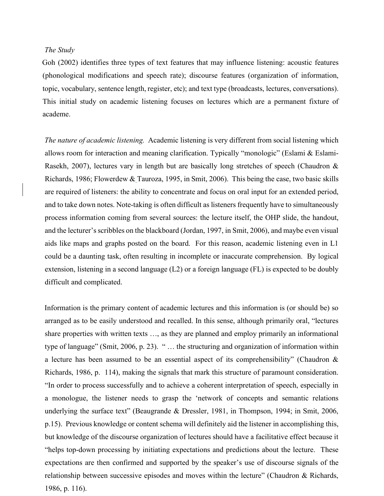#### *The Study*

Goh (2002) identifies three types of text features that may influence listening: acoustic features (phonological modifications and speech rate); discourse features (organization of information, topic, vocabulary, sentence length, register, etc); and text type (broadcasts, lectures, conversations). This initial study on academic listening focuses on lectures which are a permanent fixture of academe.

*The nature of academic listening.* Academic listening is very different from social listening which allows room for interaction and meaning clarification. Typically "monologic" (Eslami & Eslami-Rasekh, 2007), lectures vary in length but are basically long stretches of speech (Chaudron & Richards, 1986; Flowerdew & Tauroza, 1995, in Smit, 2006). This being the case, two basic skills are required of listeners: the ability to concentrate and focus on oral input for an extended period, and to take down notes. Note-taking is often difficult as listeners frequently have to simultaneously process information coming from several sources: the lecture itself, the OHP slide, the handout, and the lecturer's scribbles on the blackboard (Jordan, 1997, in Smit, 2006), and maybe even visual aids like maps and graphs posted on the board. For this reason, academic listening even in L1 could be a daunting task, often resulting in incomplete or inaccurate comprehension. By logical extension, listening in a second language (L2) or a foreign language (FL) is expected to be doubly difficult and complicated.

Information is the primary content of academic lectures and this information is (or should be) so arranged as to be easily understood and recalled. In this sense, although primarily oral, "lectures share properties with written texts …, as they are planned and employ primarily an informational type of language" (Smit, 2006, p. 23). " … the structuring and organization of information within a lecture has been assumed to be an essential aspect of its comprehensibility" (Chaudron & Richards, 1986, p. 114), making the signals that mark this structure of paramount consideration. "In order to process successfully and to achieve a coherent interpretation of speech, especially in a monologue, the listener needs to grasp the 'network of concepts and semantic relations underlying the surface text" (Beaugrande & Dressler, 1981, in Thompson, 1994; in Smit, 2006, p.15). Previous knowledge or content schema will definitely aid the listener in accomplishing this, but knowledge of the discourse organization of lectures should have a facilitative effect because it "helps top-down processing by initiating expectations and predictions about the lecture. These expectations are then confirmed and supported by the speaker's use of discourse signals of the relationship between successive episodes and moves within the lecture" (Chaudron & Richards, 1986, p. 116).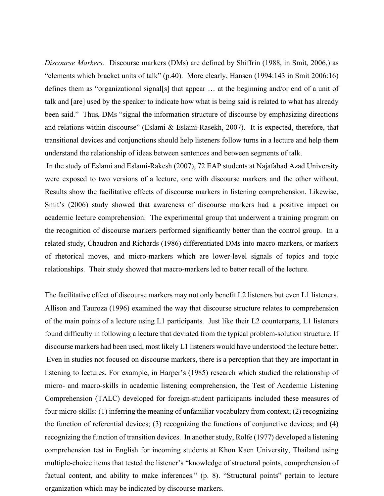*Discourse Markers.* Discourse markers (DMs) are defined by Shiffrin (1988, in Smit, 2006,) as "elements which bracket units of talk" (p.40). More clearly, Hansen (1994:143 in Smit 2006:16) defines them as "organizational signal[s] that appear … at the beginning and/or end of a unit of talk and [are] used by the speaker to indicate how what is being said is related to what has already been said." Thus, DMs "signal the information structure of discourse by emphasizing directions and relations within discourse" (Eslami & Eslami-Rasekh, 2007). It is expected, therefore, that transitional devices and conjunctions should help listeners follow turns in a lecture and help them understand the relationship of ideas between sentences and between segments of talk.

In the study of Eslami and Eslami-Rakesh (2007), 72 EAP students at Najafabad Azad University were exposed to two versions of a lecture, one with discourse markers and the other without. Results show the facilitative effects of discourse markers in listening comprehension. Likewise, Smit's (2006) study showed that awareness of discourse markers had a positive impact on academic lecture comprehension. The experimental group that underwent a training program on the recognition of discourse markers performed significantly better than the control group. In a related study, Chaudron and Richards (1986) differentiated DMs into macro-markers, or markers of rhetorical moves, and micro-markers which are lower-level signals of topics and topic relationships. Their study showed that macro-markers led to better recall of the lecture.

The facilitative effect of discourse markers may not only benefit L2 listeners but even L1 listeners. Allison and Tauroza (1996) examined the way that discourse structure relates to comprehension of the main points of a lecture using L1 participants. Just like their L2 counterparts, L1 listeners found difficulty in following a lecture that deviated from the typical problem-solution structure. If discourse markers had been used, most likely L1 listeners would have understood the lecture better. Even in studies not focused on discourse markers, there is a perception that they are important in listening to lectures. For example, in Harper's (1985) research which studied the relationship of micro- and macro-skills in academic listening comprehension, the Test of Academic Listening Comprehension (TALC) developed for foreign-student participants included these measures of four micro-skills: (1) inferring the meaning of unfamiliar vocabulary from context; (2) recognizing the function of referential devices; (3) recognizing the functions of conjunctive devices; and (4) recognizing the function of transition devices. In another study, Rolfe (1977) developed a listening comprehension test in English for incoming students at Khon Kaen University, Thailand using multiple-choice items that tested the listener's "knowledge of structural points, comprehension of factual content, and ability to make inferences." (p. 8). "Structural points" pertain to lecture organization which may be indicated by discourse markers.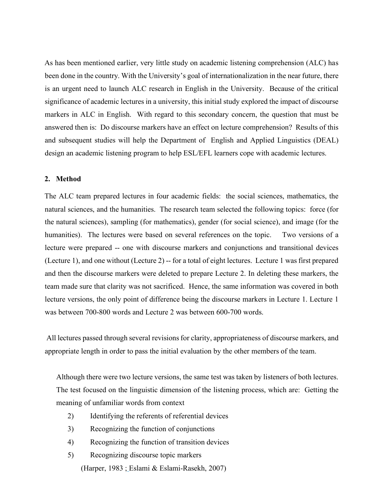As has been mentioned earlier, very little study on academic listening comprehension (ALC) has been done in the country. With the University's goal of internationalization in the near future, there is an urgent need to launch ALC research in English in the University. Because of the critical significance of academic lectures in a university, this initial study explored the impact of discourse markers in ALC in English. With regard to this secondary concern, the question that must be answered then is: Do discourse markers have an effect on lecture comprehension? Results of this and subsequent studies will help the Department of English and Applied Linguistics (DEAL) design an academic listening program to help ESL/EFL learners cope with academic lectures.

# **2. Method**

The ALC team prepared lectures in four academic fields: the social sciences, mathematics, the natural sciences, and the humanities. The research team selected the following topics: force (for the natural sciences), sampling (for mathematics), gender (for social science), and image (for the humanities). The lectures were based on several references on the topic. Two versions of a lecture were prepared -- one with discourse markers and conjunctions and transitional devices (Lecture 1), and one without (Lecture 2) -- for a total of eight lectures. Lecture 1 was first prepared and then the discourse markers were deleted to prepare Lecture 2. In deleting these markers, the team made sure that clarity was not sacrificed. Hence, the same information was covered in both lecture versions, the only point of difference being the discourse markers in Lecture 1. Lecture 1 was between 700-800 words and Lecture 2 was between 600-700 words.

All lectures passed through several revisions for clarity, appropriateness of discourse markers, and appropriate length in order to pass the initial evaluation by the other members of the team.

Although there were two lecture versions, the same test was taken by listeners of both lectures. The test focused on the linguistic dimension of the listening process, which are: Getting the meaning of unfamiliar words from context

- 2) Identifying the referents of referential devices
- 3) Recognizing the function of conjunctions
- 4) Recognizing the function of transition devices
- 5) Recognizing discourse topic markers (Harper, 1983 ; Eslami & Eslami-Rasekh, 2007)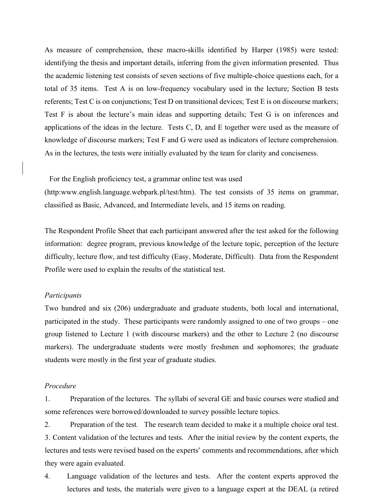As measure of comprehension, these macro-skills identified by Harper (1985) were tested: identifying the thesis and important details, inferring from the given information presented. Thus the academic listening test consists of seven sections of five multiple-choice questions each, for a total of 35 items. Test A is on low-frequency vocabulary used in the lecture; Section B tests referents; Test C is on conjunctions; Test D on transitional devices; Test E is on discourse markers; Test F is about the lecture's main ideas and supporting details; Test G is on inferences and applications of the ideas in the lecture. Tests C, D, and E together were used as the measure of knowledge of discourse markers; Test F and G were used as indicators of lecture comprehension. As in the lectures, the tests were initially evaluated by the team for clarity and conciseness.

For the English proficiency test, a grammar online test was used

(http:www.english.language.webpark.pl/test/htm). The test consists of 35 items on grammar, classified as Basic, Advanced, and Intermediate levels, and 15 items on reading.

The Respondent Profile Sheet that each participant answered after the test asked for the following information: degree program, previous knowledge of the lecture topic, perception of the lecture difficulty, lecture flow, and test difficulty (Easy, Moderate, Difficult). Data from the Respondent Profile were used to explain the results of the statistical test.

#### *Participants*

Two hundred and six (206) undergraduate and graduate students, both local and international, participated in the study. These participants were randomly assigned to one of two groups – one group listened to Lecture 1 (with discourse markers) and the other to Lecture 2 (no discourse markers). The undergraduate students were mostly freshmen and sophomores; the graduate students were mostly in the first year of graduate studies.

# *Procedure*

1. Preparation of the lectures. The syllabi of several GE and basic courses were studied and some references were borrowed/downloaded to survey possible lecture topics.

2. Preparation of the test*.* The research team decided to make it a multiple choice oral test. 3. Content validation of the lectures and tests. After the initial review by the content experts, the lectures and tests were revised based on the experts' comments and recommendations, after which they were again evaluated.

4. Language validation of the lectures and tests. After the content experts approved the lectures and tests, the materials were given to a language expert at the DEAL (a retired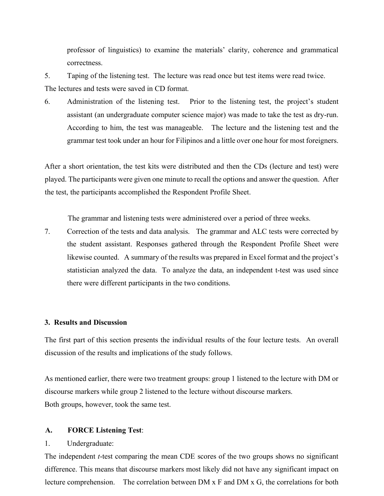professor of linguistics) to examine the materials' clarity, coherence and grammatical correctness.

5. Taping of the listening test. The lecture was read once but test items were read twice. The lectures and tests were saved in CD format.

6. Administration of the listening test. Prior to the listening test, the project's student assistant (an undergraduate computer science major) was made to take the test as dry-run. According to him, the test was manageable. The lecture and the listening test and the grammar test took under an hour for Filipinos and a little over one hour for most foreigners.

After a short orientation, the test kits were distributed and then the CDs (lecture and test) were played. The participants were given one minute to recall the options and answer the question. After the test, the participants accomplished the Respondent Profile Sheet.

The grammar and listening tests were administered over a period of three weeks.

7. Correction of the tests and data analysis. The grammar and ALC tests were corrected by the student assistant. Responses gathered through the Respondent Profile Sheet were likewise counted. A summary of the results was prepared in Excel format and the project's statistician analyzed the data. To analyze the data, an independent t-test was used since there were different participants in the two conditions.

## **3. Results and Discussion**

The first part of this section presents the individual results of the four lecture tests. An overall discussion of the results and implications of the study follows.

As mentioned earlier, there were two treatment groups: group 1 listened to the lecture with DM or discourse markers while group 2 listened to the lecture without discourse markers. Both groups, however, took the same test.

## **A. FORCE Listening Test**:

#### 1. Undergraduate:

The independent *t*-test comparing the mean CDE scores of the two groups shows no significant difference. This means that discourse markers most likely did not have any significant impact on lecture comprehension. The correlation between DM x F and DM x G, the correlations for both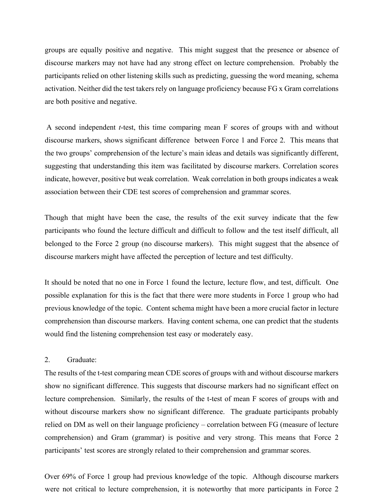groups are equally positive and negative. This might suggest that the presence or absence of discourse markers may not have had any strong effect on lecture comprehension. Probably the participants relied on other listening skills such as predicting, guessing the word meaning, schema activation. Neither did the test takers rely on language proficiency because FG x Gram correlations are both positive and negative.

A second independent *t*-test, this time comparing mean F scores of groups with and without discourse markers, shows significant difference between Force 1 and Force 2. This means that the two groups' comprehension of the lecture's main ideas and details was significantly different, suggesting that understanding this item was facilitated by discourse markers. Correlation scores indicate, however, positive but weak correlation. Weak correlation in both groups indicates a weak association between their CDE test scores of comprehension and grammar scores.

Though that might have been the case, the results of the exit survey indicate that the few participants who found the lecture difficult and difficult to follow and the test itself difficult, all belonged to the Force 2 group (no discourse markers). This might suggest that the absence of discourse markers might have affected the perception of lecture and test difficulty.

It should be noted that no one in Force 1 found the lecture, lecture flow, and test, difficult. One possible explanation for this is the fact that there were more students in Force 1 group who had previous knowledge of the topic. Content schema might have been a more crucial factor in lecture comprehension than discourse markers. Having content schema, one can predict that the students would find the listening comprehension test easy or moderately easy.

# 2. Graduate:

The results of the t-test comparing mean CDE scores of groups with and without discourse markers show no significant difference. This suggests that discourse markers had no significant effect on lecture comprehension. Similarly, the results of the t-test of mean F scores of groups with and without discourse markers show no significant difference. The graduate participants probably relied on DM as well on their language proficiency – correlation between FG (measure of lecture comprehension) and Gram (grammar) is positive and very strong. This means that Force 2 participants' test scores are strongly related to their comprehension and grammar scores.

Over 69% of Force 1 group had previous knowledge of the topic. Although discourse markers were not critical to lecture comprehension, it is noteworthy that more participants in Force 2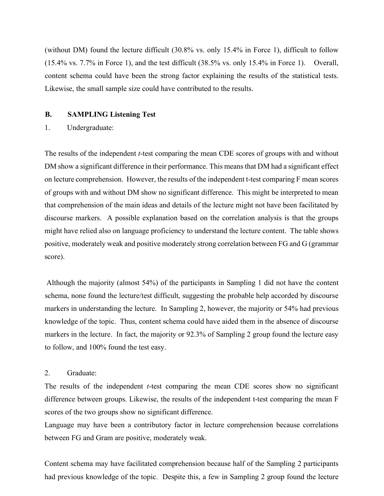(without DM) found the lecture difficult (30.8% vs. only 15.4% in Force 1), difficult to follow (15.4% vs. 7.7% in Force 1), and the test difficult (38.5% vs. only 15.4% in Force 1). Overall, content schema could have been the strong factor explaining the results of the statistical tests. Likewise, the small sample size could have contributed to the results.

#### **B. SAMPLING Listening Test**

1. Undergraduate:

The results of the independent *t*-test comparing the mean CDE scores of groups with and without DM show a significant difference in their performance. This means that DM had a significant effect on lecture comprehension. However, the results of the independent t-test comparing F mean scores of groups with and without DM show no significant difference. This might be interpreted to mean that comprehension of the main ideas and details of the lecture might not have been facilitated by discourse markers. A possible explanation based on the correlation analysis is that the groups might have relied also on language proficiency to understand the lecture content. The table shows positive, moderately weak and positive moderately strong correlation between FG and G (grammar score).

Although the majority (almost 54%) of the participants in Sampling 1 did not have the content schema, none found the lecture/test difficult, suggesting the probable help accorded by discourse markers in understanding the lecture. In Sampling 2, however, the majority or 54% had previous knowledge of the topic. Thus, content schema could have aided them in the absence of discourse markers in the lecture. In fact, the majority or 92.3% of Sampling 2 group found the lecture easy to follow, and 100% found the test easy.

# 2. Graduate:

The results of the independent *t*-test comparing the mean CDE scores show no significant difference between groups. Likewise, the results of the independent t-test comparing the mean F scores of the two groups show no significant difference.

Language may have been a contributory factor in lecture comprehension because correlations between FG and Gram are positive, moderately weak.

Content schema may have facilitated comprehension because half of the Sampling 2 participants had previous knowledge of the topic. Despite this, a few in Sampling 2 group found the lecture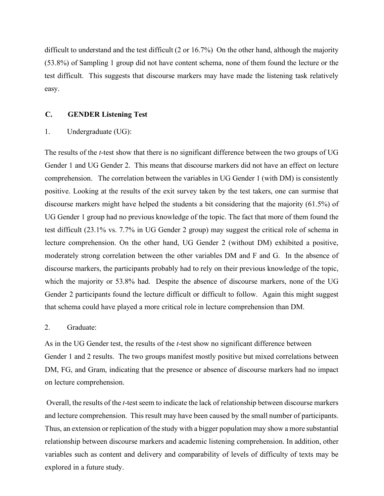difficult to understand and the test difficult (2 or 16.7%) On the other hand, although the majority (53.8%) of Sampling 1 group did not have content schema, none of them found the lecture or the test difficult. This suggests that discourse markers may have made the listening task relatively easy.

#### **C. GENDER Listening Test**

#### 1. Undergraduate (UG):

The results of the *t*-test show that there is no significant difference between the two groups of UG Gender 1 and UG Gender 2. This means that discourse markers did not have an effect on lecture comprehension. The correlation between the variables in UG Gender 1 (with DM) is consistently positive. Looking at the results of the exit survey taken by the test takers, one can surmise that discourse markers might have helped the students a bit considering that the majority (61.5%) of UG Gender 1 group had no previous knowledge of the topic. The fact that more of them found the test difficult (23.1% vs. 7.7% in UG Gender 2 group) may suggest the critical role of schema in lecture comprehension. On the other hand, UG Gender 2 (without DM) exhibited a positive, moderately strong correlation between the other variables DM and F and G. In the absence of discourse markers, the participants probably had to rely on their previous knowledge of the topic, which the majority or 53.8% had. Despite the absence of discourse markers, none of the UG Gender 2 participants found the lecture difficult or difficult to follow. Again this might suggest that schema could have played a more critical role in lecture comprehension than DM.

# 2. Graduate:

As in the UG Gender test, the results of the *t*-test show no significant difference between Gender 1 and 2 results. The two groups manifest mostly positive but mixed correlations between DM, FG, and Gram, indicating that the presence or absence of discourse markers had no impact on lecture comprehension.

Overall, the results of the *t*-test seem to indicate the lack of relationship between discourse markers and lecture comprehension. This result may have been caused by the small number of participants. Thus, an extension or replication of the study with a bigger population may show a more substantial relationship between discourse markers and academic listening comprehension. In addition, other variables such as content and delivery and comparability of levels of difficulty of texts may be explored in a future study.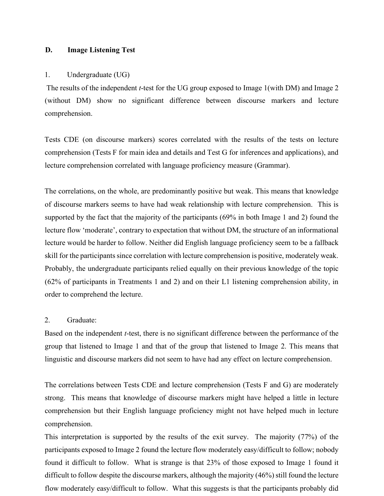## **D. Image Listening Test**

#### 1. Undergraduate (UG)

The results of the independent *t*-test for the UG group exposed to Image 1(with DM) and Image 2 (without DM) show no significant difference between discourse markers and lecture comprehension.

Tests CDE (on discourse markers) scores correlated with the results of the tests on lecture comprehension (Tests F for main idea and details and Test G for inferences and applications), and lecture comprehension correlated with language proficiency measure (Grammar).

The correlations, on the whole, are predominantly positive but weak. This means that knowledge of discourse markers seems to have had weak relationship with lecture comprehension. This is supported by the fact that the majority of the participants (69% in both Image 1 and 2) found the lecture flow 'moderate', contrary to expectation that without DM, the structure of an informational lecture would be harder to follow. Neither did English language proficiency seem to be a fallback skill for the participants since correlation with lecture comprehension is positive, moderately weak. Probably, the undergraduate participants relied equally on their previous knowledge of the topic (62% of participants in Treatments 1 and 2) and on their L1 listening comprehension ability, in order to comprehend the lecture.

# 2. Graduate:

Based on the independent *t*-test, there is no significant difference between the performance of the group that listened to Image 1 and that of the group that listened to Image 2. This means that linguistic and discourse markers did not seem to have had any effect on lecture comprehension.

The correlations between Tests CDE and lecture comprehension (Tests F and G) are moderately strong. This means that knowledge of discourse markers might have helped a little in lecture comprehension but their English language proficiency might not have helped much in lecture comprehension.

This interpretation is supported by the results of the exit survey. The majority (77%) of the participants exposed to Image 2 found the lecture flow moderately easy/difficult to follow; nobody found it difficult to follow. What is strange is that 23% of those exposed to Image 1 found it difficult to follow despite the discourse markers, although the majority (46%) still found the lecture flow moderately easy/difficult to follow. What this suggests is that the participants probably did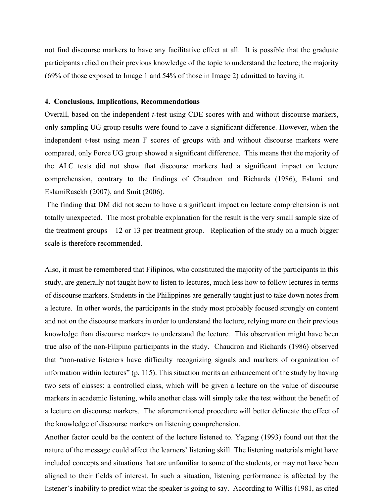not find discourse markers to have any facilitative effect at all. It is possible that the graduate participants relied on their previous knowledge of the topic to understand the lecture; the majority (69% of those exposed to Image 1 and 54% of those in Image 2) admitted to having it.

#### **4. Conclusions, Implications, Recommendations**

Overall, based on the independent *t*-test using CDE scores with and without discourse markers, only sampling UG group results were found to have a significant difference. However, when the independent t-test using mean F scores of groups with and without discourse markers were compared, only Force UG group showed a significant difference. This means that the majority of the ALC tests did not show that discourse markers had a significant impact on lecture comprehension, contrary to the findings of Chaudron and Richards (1986), Eslami and EslamiRasekh (2007), and Smit (2006).

The finding that DM did not seem to have a significant impact on lecture comprehension is not totally unexpected. The most probable explanation for the result is the very small sample size of the treatment groups – 12 or 13 per treatment group. Replication of the study on a much bigger scale is therefore recommended.

Also, it must be remembered that Filipinos, who constituted the majority of the participants in this study, are generally not taught how to listen to lectures, much less how to follow lectures in terms of discourse markers. Students in the Philippines are generally taught just to take down notes from a lecture. In other words, the participants in the study most probably focused strongly on content and not on the discourse markers in order to understand the lecture, relying more on their previous knowledge than discourse markers to understand the lecture. This observation might have been true also of the non-Filipino participants in the study. Chaudron and Richards (1986) observed that "non-native listeners have difficulty recognizing signals and markers of organization of information within lectures" (p. 115). This situation merits an enhancement of the study by having two sets of classes: a controlled class, which will be given a lecture on the value of discourse markers in academic listening, while another class will simply take the test without the benefit of a lecture on discourse markers. The aforementioned procedure will better delineate the effect of the knowledge of discourse markers on listening comprehension.

Another factor could be the content of the lecture listened to. Yagang (1993) found out that the nature of the message could affect the learners' listening skill. The listening materials might have included concepts and situations that are unfamiliar to some of the students, or may not have been aligned to their fields of interest. In such a situation, listening performance is affected by the listener's inability to predict what the speaker is going to say. According to Willis (1981, as cited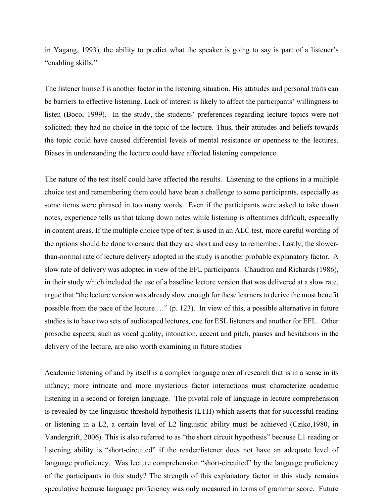in Yagang, 1993), the ability to predict what the speaker is going to say is part of a listener's "enabling skills."

The listener himself is another factor in the listening situation. His attitudes and personal traits can be barriers to effective listening. Lack of interest is likely to affect the participants' willingness to listen (Boco, 1999). In the study, the students' preferences regarding lecture topics were not solicited; they had no choice in the topic of the lecture. Thus, their attitudes and beliefs towards the topic could have caused differential levels of mental resistance or openness to the lectures. Biases in understanding the lecture could have affected listening competence.

The nature of the test itself could have affected the results. Listening to the options in a multiple choice test and remembering them could have been a challenge to some participants, especially as some items were phrased in too many words. Even if the participants were asked to take down notes, experience tells us that taking down notes while listening is oftentimes difficult, especially in content areas. If the multiple choice type of test is used in an ALC test, more careful wording of the options should be done to ensure that they are short and easy to remember. Lastly, the slowerthan-normal rate of lecture delivery adopted in the study is another probable explanatory factor. A slow rate of delivery was adopted in view of the EFL participants. Chaudron and Richards (1986), in their study which included the use of a baseline lecture version that was delivered at a slow rate, argue that "the lecture version was already slow enough for these learners to derive the most benefit possible from the pace of the lecture …" (p. 123). In view of this, a possible alternative in future studies is to have two sets of audiotaped lectures, one for ESL listeners and another for EFL. Other prosodic aspects, such as vocal quality, intonation, accent and pitch, pauses and hesitations in the delivery of the lecture, are also worth examining in future studies.

Academic listening of and by itself is a complex language area of research that is in a sense in its infancy; more intricate and more mysterious factor interactions must characterize academic listening in a second or foreign language. The pivotal role of language in lecture comprehension is revealed by the linguistic threshold hypothesis (LTH) which asserts that for successful reading or listening in a L2, a certain level of L2 linguistic ability must be achieved (Cziko,1980, in Vandergrift, 2006). This is also referred to as "the short circuit hypothesis" because L1 reading or listening ability is "short-circuited" if the reader/listener does not have an adequate level of language proficiency. Was lecture comprehension "short-circuited" by the language proficiency of the participants in this study? The strength of this explanatory factor in this study remains speculative because language proficiency was only measured in terms of grammar score. Future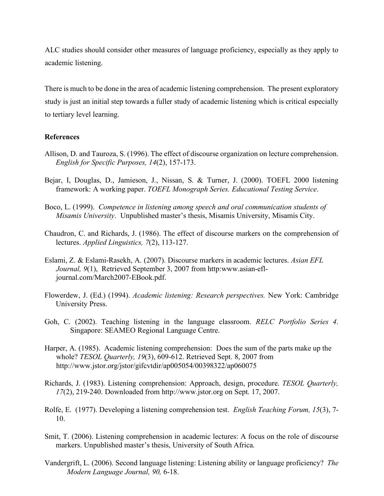ALC studies should consider other measures of language proficiency, especially as they apply to academic listening.

There is much to be done in the area of academic listening comprehension. The present exploratory study is just an initial step towards a fuller study of academic listening which is critical especially to tertiary level learning.

# **References**

- Allison, D. and Tauroza, S. (1996). The effect of discourse organization on lecture comprehension. *English for Specific Purposes, 14*(2), 157-173.
- Bejar, I, Douglas, D., Jamieson, J., Nissan, S. & Turner, J. (2000). TOEFL 2000 listening framework: A working paper. *TOEFL Monograph Series. Educational Testing Service*.
- Boco, L. (1999). *Competence in listening among speech and oral communication students of Misamis University*. Unpublished master's thesis, Misamis University, Misamis City.
- Chaudron, C. and Richards, J. (1986). The effect of discourse markers on the comprehension of lectures. *Applied Linguistics, 7*(2), 113-127.
- Eslami, Z. & Eslami-Rasekh, A. (2007). Discourse markers in academic lectures. *Asian EFL Journal, 9*(1), Retrieved September 3, 2007 from http:www.asian-efljournal.com/March2007-EBook.pdf.
- Flowerdew, J. (Ed.) (1994). *Academic listening: Research perspectives.* New York: Cambridge University Press.
- Goh, C. (2002). Teaching listening in the language classroom. *RELC Portfolio Series 4*. Singapore: SEAMEO Regional Language Centre.
- Harper, A. (1985). Academic listening comprehension: Does the sum of the parts make up the whole? *TESOL Quarterly, 19*(3), 609-612. Retrieved Sept. 8, 2007 from http://www.jstor.org/jstor/gifcvtdir/ap005054/00398322/ap060075
- Richards, J. (1983). Listening comprehension: Approach, design, procedure. *TESOL Quarterly, 17*(2), 219-240. Downloaded from http://www.jstor.org on Sept. 17, 2007.
- Rolfe, E. (1977). Developing a listening comprehension test. *English Teaching Forum, 15*(3), 7- 10.
- Smit, T. (2006). Listening comprehension in academic lectures: A focus on the role of discourse markers. Unpublished master's thesis, University of South Africa.
- Vandergrift, L. (2006). Second language listening: Listening ability or language proficiency? *The Modern Language Journal, 90,* 6-18.